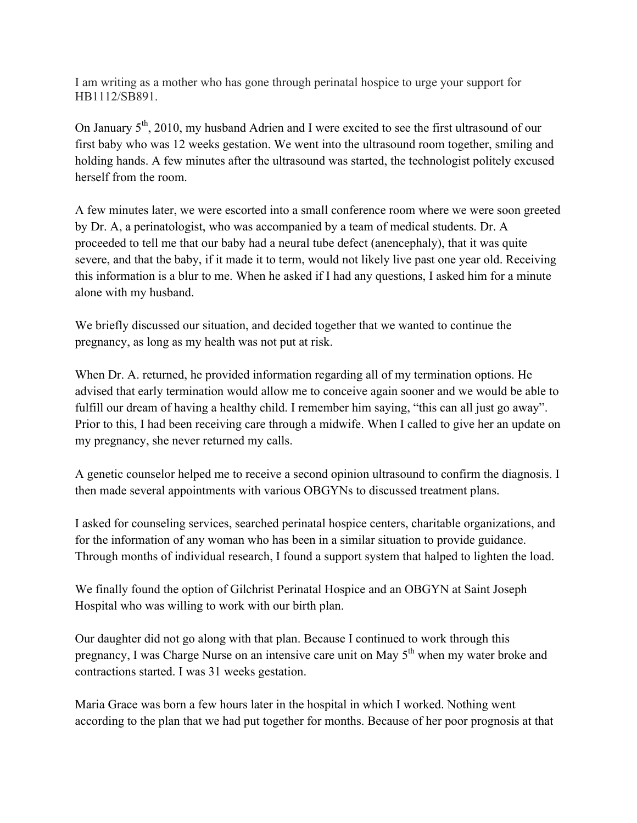I am writing as a mother who has gone through perinatal hospice to urge your support for HB1112/SB891.

On January  $5<sup>th</sup>$ , 2010, my husband Adrien and I were excited to see the first ultrasound of our first baby who was 12 weeks gestation. We went into the ultrasound room together, smiling and holding hands. A few minutes after the ultrasound was started, the technologist politely excused herself from the room.

A few minutes later, we were escorted into a small conference room where we were soon greeted by Dr. A, a perinatologist, who was accompanied by a team of medical students. Dr. A proceeded to tell me that our baby had a neural tube defect (anencephaly), that it was quite severe, and that the baby, if it made it to term, would not likely live past one year old. Receiving this information is a blur to me. When he asked if I had any questions, I asked him for a minute alone with my husband.

We briefly discussed our situation, and decided together that we wanted to continue the pregnancy, as long as my health was not put at risk.

When Dr. A. returned, he provided information regarding all of my termination options. He advised that early termination would allow me to conceive again sooner and we would be able to fulfill our dream of having a healthy child. I remember him saying, "this can all just go away". Prior to this, I had been receiving care through a midwife. When I called to give her an update on my pregnancy, she never returned my calls.

A genetic counselor helped me to receive a second opinion ultrasound to confirm the diagnosis. I then made several appointments with various OBGYNs to discussed treatment plans.

I asked for counseling services, searched perinatal hospice centers, charitable organizations, and for the information of any woman who has been in a similar situation to provide guidance. Through months of individual research, I found a support system that halped to lighten the load.

We finally found the option of Gilchrist Perinatal Hospice and an OBGYN at Saint Joseph Hospital who was willing to work with our birth plan.

Our daughter did not go along with that plan. Because I continued to work through this pregnancy, I was Charge Nurse on an intensive care unit on May  $5<sup>th</sup>$  when my water broke and contractions started. I was 31 weeks gestation.

Maria Grace was born a few hours later in the hospital in which I worked. Nothing went according to the plan that we had put together for months. Because of her poor prognosis at that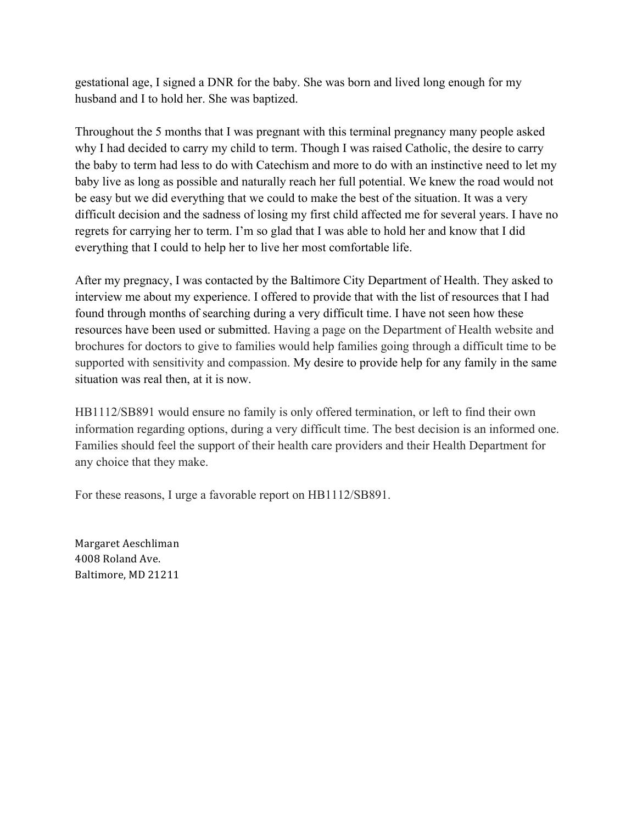gestational age, I signed a DNR for the baby. She was born and lived long enough for my husband and I to hold her. She was baptized.

Throughout the 5 months that I was pregnant with this terminal pregnancy many people asked why I had decided to carry my child to term. Though I was raised Catholic, the desire to carry the baby to term had less to do with Catechism and more to do with an instinctive need to let my baby live as long as possible and naturally reach her full potential. We knew the road would not be easy but we did everything that we could to make the best of the situation. It was a very difficult decision and the sadness of losing my first child affected me for several years. I have no regrets for carrying her to term. I'm so glad that I was able to hold her and know that I did everything that I could to help her to live her most comfortable life.

After my pregnacy, I was contacted by the Baltimore City Department of Health. They asked to interview me about my experience. I offered to provide that with the list of resources that I had found through months of searching during a very difficult time. I have not seen how these resources have been used or submitted. Having a page on the Department of Health website and brochures for doctors to give to families would help families going through a difficult time to be supported with sensitivity and compassion. My desire to provide help for any family in the same situation was real then, at it is now.

HB1112/SB891 would ensure no family is only offered termination, or left to find their own information regarding options, during a very difficult time. The best decision is an informed one. Families should feel the support of their health care providers and their Health Department for any choice that they make.

For these reasons, I urge a favorable report on HB1112/SB891.

Margaret Aeschliman 4008 Roland Ave. Baltimore, MD 21211